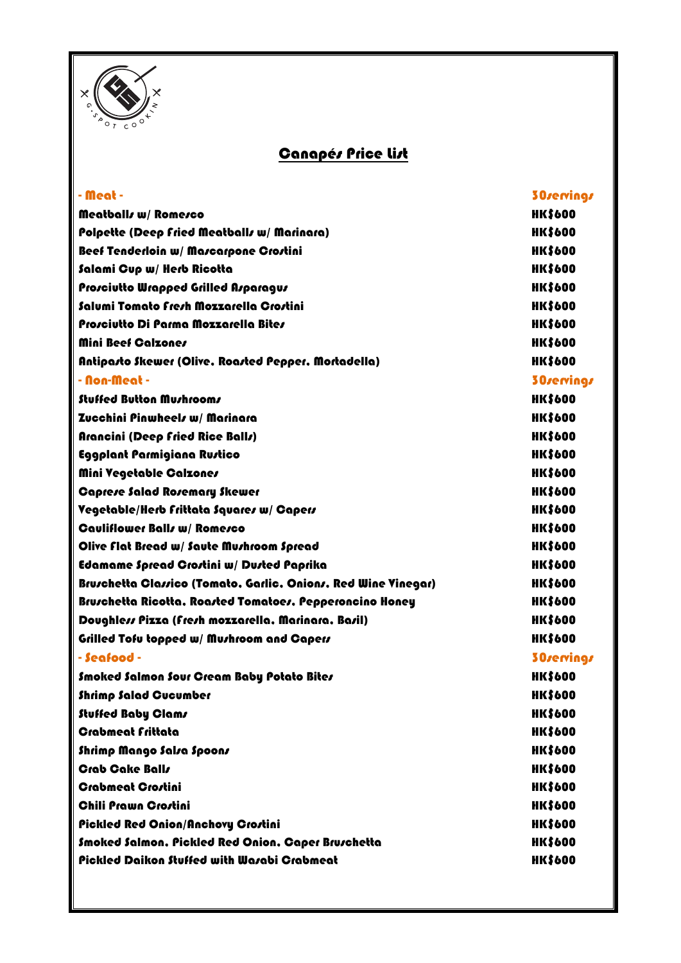

## **Canapés Price List**

| - Meat -                                                       | 30servings     |
|----------------------------------------------------------------|----------------|
| Meatballs w/ Romesco                                           | <b>HK\$600</b> |
| Polpette (Deep Fried Meatballs w/ Marinara)                    | <b>HK\$600</b> |
| Beef Tenderloin w/ Mascarpone Crostini                         | <b>HK\$600</b> |
| Salami Cup w/ Herb Ricotta                                     | <b>HK\$600</b> |
| Prosciutto Wrapped Grilled Asparagus                           | <b>HK\$600</b> |
| Salumi Tomato Fresh Mozzarella Crostini                        | <b>HK\$600</b> |
| Prosciutto Di Parma Mozzarella Bites                           | <b>HK\$600</b> |
| Mini Beef Calzones                                             | <b>HK\$600</b> |
| Antipasto Skewer (Olive, Roasted Pepper, Mortadella)           | <b>HK\$600</b> |
| - Non-Meat -                                                   | 30servings     |
| <b>Stuffed Button Mushrooms</b>                                | <b>HK\$600</b> |
| Zucchini Pinwheels w/ Marinara                                 | <b>HK\$600</b> |
| Arancini (Deep Fried Rice Balls)                               | <b>HK\$600</b> |
| Eggplant Parmigiana Rustico                                    | <b>HK\$600</b> |
| Mini Vegetable Calzones                                        | <b>HK\$600</b> |
| <b>Caprese Salad Rosemary Skewer</b>                           | <b>HK\$600</b> |
| Vegetable/Herb Frittata Squares w/ Capers                      | <b>HK\$600</b> |
| <b>Cauliflower Balls w/ Romesco</b>                            | <b>HK\$600</b> |
| Olive flat Bread w/ Saute Mushroom Spread                      | <b>HK\$600</b> |
| Edamame Spread Crostini w/ Dusted Paprika                      | <b>HK\$600</b> |
| Bruschetta Classico (Tomato, Garlic, Onions, Red Wine Vinegar) | <b>HK\$600</b> |
| Bruschetta Ricotta, Roasted Tomatoes, Pepperoncino Honey       | <b>HK\$600</b> |
| Doughless Pizza (fresh mozzarella, Marinara, Basil)            | <b>HK\$600</b> |
| Grilled Tofu topped w/ Mushroom and Capers                     | <b>HK\$600</b> |
| - Seafood -                                                    | 30servings     |
| Smoked Salmon Sour Gream Baby Potato Bites                     | <b>HK\$600</b> |
| <b>Shrimp Salad Gueumber</b>                                   | <b>HK\$600</b> |
| Stuffed Baby Clams                                             | <b>HK\$600</b> |
| <b>Crabmeat Frittata</b>                                       | <b>HK\$600</b> |
| Shrimp Mango Salsa Spoons                                      | <b>HK\$600</b> |
| <b>Crab Cake Balls</b>                                         | <b>HK\$600</b> |
| <b>Crabmeat Crostini</b>                                       | <b>HK\$600</b> |
| <b>Chili Prawn Crostini</b>                                    | <b>HK\$600</b> |
| <b>Pickled Red Onion/Anchovy Crostini</b>                      | <b>HK\$600</b> |
| Smoked Salmon, Pickled Red Onion, Caper Bruschetta             | <b>HK\$600</b> |
| Pickled Daikon Stuffed with Warabi Crabmeat                    | <b>HK\$600</b> |
|                                                                |                |